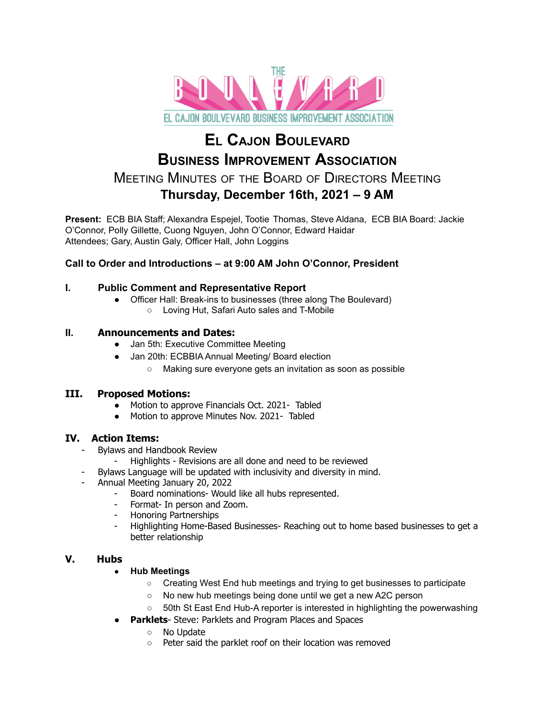

# **E<sup>L</sup> CAJON BOULEVARD BUSINESS IMPROVEMENT ASSOCIATION** MEETING MINUTES OF THE BOARD OF DIRECTORS MEETING **Thursday, December 16th, 2021 – 9 AM**

**Present:** ECB BIA Staff; Alexandra Espejel, Tootie Thomas, Steve Aldana, ECB BIA Board: Jackie O'Connor, Polly Gillette, Cuong Nguyen, John O'Connor, Edward Haidar Attendees; Gary, Austin Galy, Officer Hall, John Loggins

# **Call to Order and Introductions – at 9:00 AM John O'Connor, President**

### **I. Public Comment and Representative Report**

- Officer Hall: Break-ins to businesses (three along The Boulevard)
	- Loving Hut, Safari Auto sales and T-Mobile

## **II. Announcements and Dates:**

- Jan 5th: Executive Committee Meeting
- Jan 20th: ECBBIA Annual Meeting/ Board election
	- Making sure everyone gets an invitation as soon as possible

## **III. Proposed Motions:**

- Motion to approve Financials Oct. 2021- Tabled
- Motion to approve Minutes Nov. 2021- Tabled

## **IV. Action Items:**

- Bylaws and Handbook Review
	- Highlights Revisions are all done and need to be reviewed
	- Bylaws Language will be updated with inclusivity and diversity in mind.
- Annual Meeting January 20, 2022
	- Board nominations- Would like all hubs represented.
	- Format- In person and Zoom.
	- Honoring Partnerships
	- Highlighting Home-Based Businesses- Reaching out to home based businesses to get a better relationship

## **V. Hubs**

#### ● **Hub Meetings**

- Creating West End hub meetings and trying to get businesses to participate
- No new hub meetings being done until we get a new A2C person
- 50th St East End Hub-A reporter is interested in highlighting the powerwashing
- **Parklets** Steve: Parklets and Program Places and Spaces
	- No Update
	- Peter said the parklet roof on their location was removed